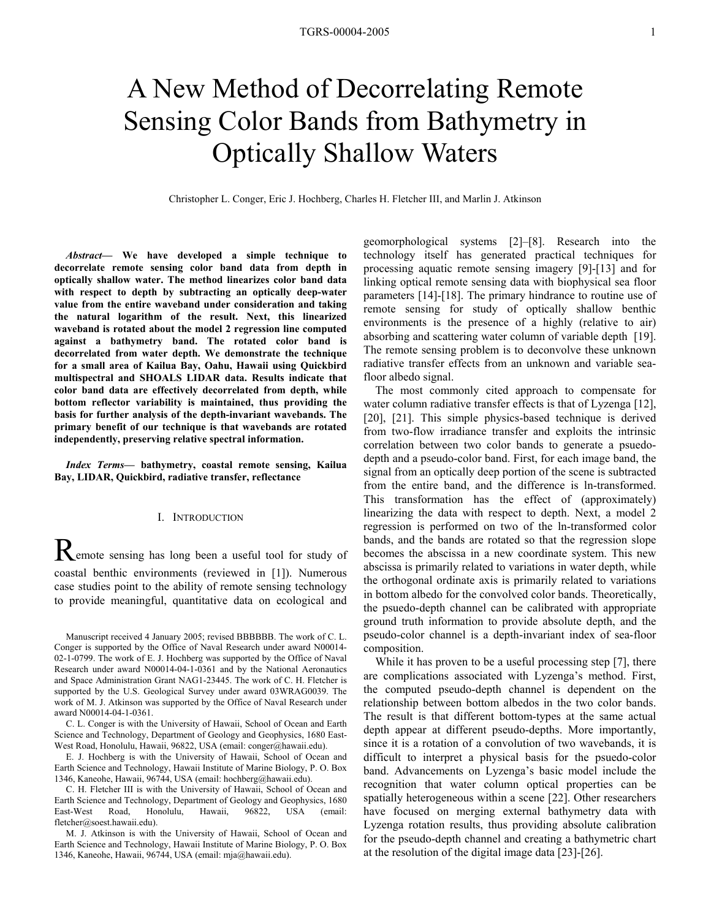# A New Method of Decorrelating Remote Sensing Color Bands from Bathymetry in Optically Shallow Waters

Christopher L. Conger, Eric J. Hochberg, Charles H. Fletcher III, and Marlin J. Atkinson

*Abstract***— We have developed a simple technique to decorrelate remote sensing color band data from depth in optically shallow water. The method linearizes color band data with respect to depth by subtracting an optically deep-water value from the entire waveband under consideration and taking the natural logarithm of the result. Next, this linearized waveband is rotated about the model 2 regression line computed against a bathymetry band. The rotated color band is decorrelated from water depth. We demonstrate the technique for a small area of Kailua Bay, Oahu, Hawaii using Quickbird multispectral and SHOALS LIDAR data. Results indicate that color band data are effectively decorrelated from depth, while bottom reflector variability is maintained, thus providing the basis for further analysis of the depth-invariant wavebands. The primary benefit of our technique is that wavebands are rotated independently, preserving relative spectral information.** 

*Index Terms***— bathymetry, coastal remote sensing, Kailua Bay, LIDAR, Quickbird, radiative transfer, reflectance** 

## I. INTRODUCTION

Remote sensing has long been a useful tool for study of coastal benthic environments (reviewed in [1]). Numerous case studies point to the ability of remote sensing technology to provide meaningful, quantitative data on ecological and

Manuscript received 4 January 2005; revised BBBBBB. The work of C. L. Conger is supported by the Office of Naval Research under award N00014- 02-1-0799. The work of E. J. Hochberg was supported by the Office of Naval Research under award N00014-04-1-0361 and by the National Aeronautics and Space Administration Grant NAG1-23445. The work of C. H. Fletcher is supported by the U.S. Geological Survey under award 03WRAG0039. The work of M. J. Atkinson was supported by the Office of Naval Research under award N00014-04-1-0361.

C. L. Conger is with the University of Hawaii, School of Ocean and Earth Science and Technology, Department of Geology and Geophysics, 1680 East-West Road, Honolulu, Hawaii, 96822, USA (email: conger@hawaii.edu).

E. J. Hochberg is with the University of Hawaii, School of Ocean and Earth Science and Technology, Hawaii Institute of Marine Biology, P. O. Box 1346, Kaneohe, Hawaii, 96744, USA (email: hochberg@hawaii.edu).

C. H. Fletcher III is with the University of Hawaii, School of Ocean and Earth Science and Technology, Department of Geology and Geophysics, 1680 East-West Road, Honolulu, Hawaii, 96822, USA (email: fletcher@soest.hawaii.edu).

M. J. Atkinson is with the University of Hawaii, School of Ocean and Earth Science and Technology, Hawaii Institute of Marine Biology, P. O. Box 1346, Kaneohe, Hawaii, 96744, USA (email: mja@hawaii.edu).

geomorphological systems [2]–[8]. Research into the technology itself has generated practical techniques for processing aquatic remote sensing imagery [9]-[13] and for linking optical remote sensing data with biophysical sea floor parameters [14]-[18]. The primary hindrance to routine use of remote sensing for study of optically shallow benthic environments is the presence of a highly (relative to air) absorbing and scattering water column of variable depth [19]. The remote sensing problem is to deconvolve these unknown radiative transfer effects from an unknown and variable seafloor albedo signal.

 The most commonly cited approach to compensate for water column radiative transfer effects is that of Lyzenga [12]. [20], [21]. This simple physics-based technique is derived from two-flow irradiance transfer and exploits the intrinsic correlation between two color bands to generate a psuedodepth and a pseudo-color band. First, for each image band, the signal from an optically deep portion of the scene is subtracted from the entire band, and the difference is ln-transformed. This transformation has the effect of (approximately) linearizing the data with respect to depth. Next, a model 2 regression is performed on two of the ln-transformed color bands, and the bands are rotated so that the regression slope becomes the abscissa in a new coordinate system. This new abscissa is primarily related to variations in water depth, while the orthogonal ordinate axis is primarily related to variations in bottom albedo for the convolved color bands. Theoretically, the psuedo-depth channel can be calibrated with appropriate ground truth information to provide absolute depth, and the pseudo-color channel is a depth-invariant index of sea-floor composition.

While it has proven to be a useful processing step [7], there are complications associated with Lyzenga's method. First, the computed pseudo-depth channel is dependent on the relationship between bottom albedos in the two color bands. The result is that different bottom-types at the same actual depth appear at different pseudo-depths. More importantly, since it is a rotation of a convolution of two wavebands, it is difficult to interpret a physical basis for the psuedo-color band. Advancements on Lyzenga's basic model include the recognition that water column optical properties can be spatially heterogeneous within a scene [22]. Other researchers have focused on merging external bathymetry data with Lyzenga rotation results, thus providing absolute calibration for the pseudo-depth channel and creating a bathymetric chart at the resolution of the digital image data [23]-[26].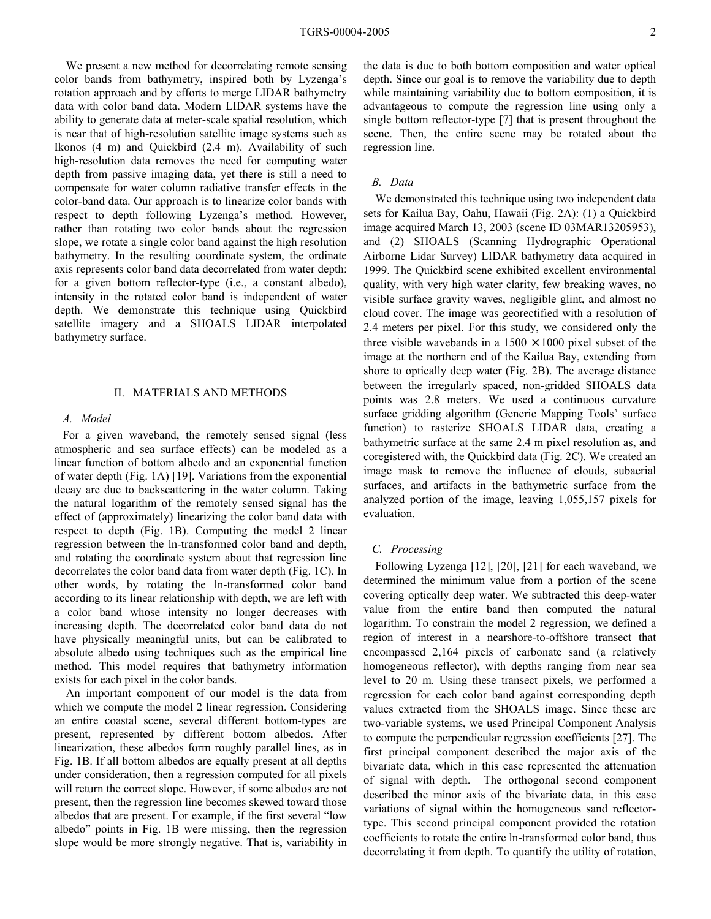We present a new method for decorrelating remote sensing color bands from bathymetry, inspired both by Lyzenga's rotation approach and by efforts to merge LIDAR bathymetry data with color band data. Modern LIDAR systems have the ability to generate data at meter-scale spatial resolution, which is near that of high-resolution satellite image systems such as Ikonos (4 m) and Quickbird (2.4 m). Availability of such high-resolution data removes the need for computing water depth from passive imaging data, yet there is still a need to compensate for water column radiative transfer effects in the color-band data. Our approach is to linearize color bands with respect to depth following Lyzenga's method. However, rather than rotating two color bands about the regression slope, we rotate a single color band against the high resolution bathymetry. In the resulting coordinate system, the ordinate axis represents color band data decorrelated from water depth: for a given bottom reflector-type (i.e., a constant albedo), intensity in the rotated color band is independent of water depth. We demonstrate this technique using Quickbird satellite imagery and a SHOALS LIDAR interpolated bathymetry surface.

### II. MATERIALS AND METHODS

#### *A. Model*

For a given waveband, the remotely sensed signal (less atmospheric and sea surface effects) can be modeled as a linear function of bottom albedo and an exponential function of water depth (Fig. 1A) [19]. Variations from the exponential decay are due to backscattering in the water column. Taking the natural logarithm of the remotely sensed signal has the effect of (approximately) linearizing the color band data with respect to depth (Fig. 1B). Computing the model 2 linear regression between the ln-transformed color band and depth, and rotating the coordinate system about that regression line decorrelates the color band data from water depth (Fig. 1C). In other words, by rotating the ln-transformed color band according to its linear relationship with depth, we are left with a color band whose intensity no longer decreases with increasing depth. The decorrelated color band data do not have physically meaningful units, but can be calibrated to absolute albedo using techniques such as the empirical line method. This model requires that bathymetry information exists for each pixel in the color bands.

 An important component of our model is the data from which we compute the model 2 linear regression. Considering an entire coastal scene, several different bottom-types are present, represented by different bottom albedos. After linearization, these albedos form roughly parallel lines, as in Fig. 1B. If all bottom albedos are equally present at all depths under consideration, then a regression computed for all pixels will return the correct slope. However, if some albedos are not present, then the regression line becomes skewed toward those albedos that are present. For example, if the first several "low albedo" points in Fig. 1B were missing, then the regression slope would be more strongly negative. That is, variability in the data is due to both bottom composition and water optical depth. Since our goal is to remove the variability due to depth while maintaining variability due to bottom composition, it is advantageous to compute the regression line using only a single bottom reflector-type [7] that is present throughout the scene. Then, the entire scene may be rotated about the regression line.

# *B. Data*

We demonstrated this technique using two independent data sets for Kailua Bay, Oahu, Hawaii (Fig. 2A): (1) a Quickbird image acquired March 13, 2003 (scene ID 03MAR13205953), and (2) SHOALS (Scanning Hydrographic Operational Airborne Lidar Survey) LIDAR bathymetry data acquired in 1999. The Quickbird scene exhibited excellent environmental quality, with very high water clarity, few breaking waves, no visible surface gravity waves, negligible glint, and almost no cloud cover. The image was georectified with a resolution of 2.4 meters per pixel. For this study, we considered only the three visible wavebands in a  $1500 \times 1000$  pixel subset of the image at the northern end of the Kailua Bay, extending from shore to optically deep water (Fig. 2B). The average distance between the irregularly spaced, non-gridded SHOALS data points was 2.8 meters. We used a continuous curvature surface gridding algorithm (Generic Mapping Tools' surface function) to rasterize SHOALS LIDAR data, creating a bathymetric surface at the same 2.4 m pixel resolution as, and coregistered with, the Quickbird data (Fig. 2C). We created an image mask to remove the influence of clouds, subaerial surfaces, and artifacts in the bathymetric surface from the analyzed portion of the image, leaving 1,055,157 pixels for evaluation.

#### *C. Processing*

Following Lyzenga [12], [20], [21] for each waveband, we determined the minimum value from a portion of the scene covering optically deep water. We subtracted this deep-water value from the entire band then computed the natural logarithm. To constrain the model 2 regression, we defined a region of interest in a nearshore-to-offshore transect that encompassed 2,164 pixels of carbonate sand (a relatively homogeneous reflector), with depths ranging from near sea level to 20 m. Using these transect pixels, we performed a regression for each color band against corresponding depth values extracted from the SHOALS image. Since these are two-variable systems, we used Principal Component Analysis to compute the perpendicular regression coefficients [27]. The first principal component described the major axis of the bivariate data, which in this case represented the attenuation of signal with depth. The orthogonal second component described the minor axis of the bivariate data, in this case variations of signal within the homogeneous sand reflectortype. This second principal component provided the rotation coefficients to rotate the entire ln-transformed color band, thus decorrelating it from depth. To quantify the utility of rotation,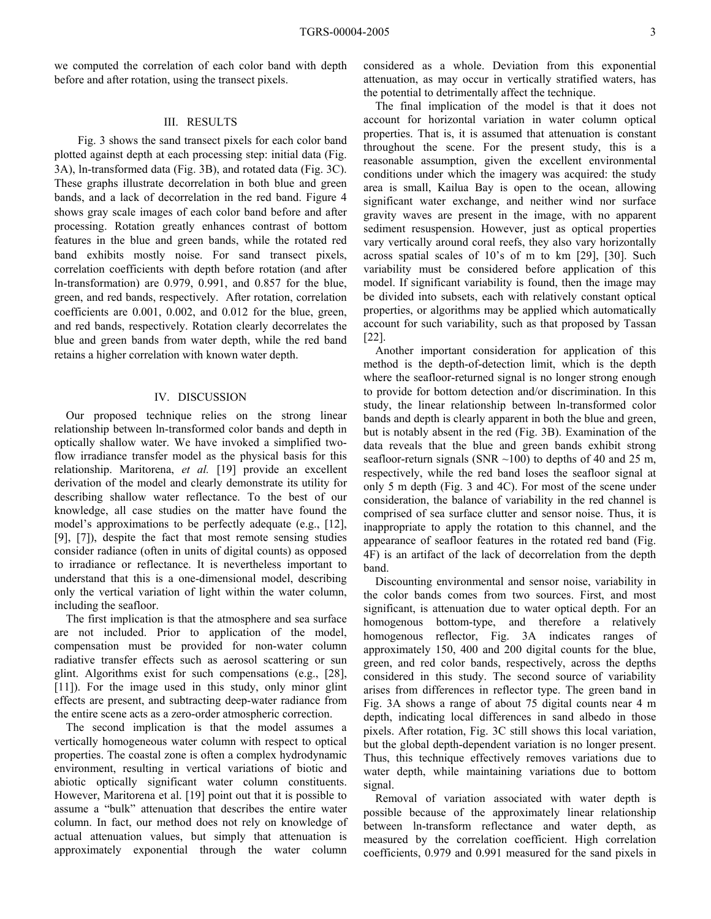we computed the correlation of each color band with depth before and after rotation, using the transect pixels.

### III. RESULTS

 Fig. 3 shows the sand transect pixels for each color band plotted against depth at each processing step: initial data (Fig. 3A), ln-transformed data (Fig. 3B), and rotated data (Fig. 3C). These graphs illustrate decorrelation in both blue and green bands, and a lack of decorrelation in the red band. Figure 4 shows gray scale images of each color band before and after processing. Rotation greatly enhances contrast of bottom features in the blue and green bands, while the rotated red band exhibits mostly noise. For sand transect pixels, correlation coefficients with depth before rotation (and after ln-transformation) are 0.979, 0.991, and 0.857 for the blue, green, and red bands, respectively. After rotation, correlation coefficients are 0.001, 0.002, and 0.012 for the blue, green, and red bands, respectively. Rotation clearly decorrelates the blue and green bands from water depth, while the red band retains a higher correlation with known water depth.

#### IV. DISCUSSION

 Our proposed technique relies on the strong linear relationship between ln-transformed color bands and depth in optically shallow water. We have invoked a simplified twoflow irradiance transfer model as the physical basis for this relationship. Maritorena, *et al.* [19] provide an excellent derivation of the model and clearly demonstrate its utility for describing shallow water reflectance. To the best of our knowledge, all case studies on the matter have found the model's approximations to be perfectly adequate (e.g., [12], [9], [7]), despite the fact that most remote sensing studies consider radiance (often in units of digital counts) as opposed to irradiance or reflectance. It is nevertheless important to understand that this is a one-dimensional model, describing only the vertical variation of light within the water column, including the seafloor.

 The first implication is that the atmosphere and sea surface are not included. Prior to application of the model, compensation must be provided for non-water column radiative transfer effects such as aerosol scattering or sun glint. Algorithms exist for such compensations (e.g., [28], [11]). For the image used in this study, only minor glint effects are present, and subtracting deep-water radiance from the entire scene acts as a zero-order atmospheric correction.

 The second implication is that the model assumes a vertically homogeneous water column with respect to optical properties. The coastal zone is often a complex hydrodynamic environment, resulting in vertical variations of biotic and abiotic optically significant water column constituents. However, Maritorena et al. [19] point out that it is possible to assume a "bulk" attenuation that describes the entire water column. In fact, our method does not rely on knowledge of actual attenuation values, but simply that attenuation is approximately exponential through the water column considered as a whole. Deviation from this exponential attenuation, as may occur in vertically stratified waters, has the potential to detrimentally affect the technique.

 The final implication of the model is that it does not account for horizontal variation in water column optical properties. That is, it is assumed that attenuation is constant throughout the scene. For the present study, this is a reasonable assumption, given the excellent environmental conditions under which the imagery was acquired: the study area is small, Kailua Bay is open to the ocean, allowing significant water exchange, and neither wind nor surface gravity waves are present in the image, with no apparent sediment resuspension. However, just as optical properties vary vertically around coral reefs, they also vary horizontally across spatial scales of 10's of m to km [29], [30]. Such variability must be considered before application of this model. If significant variability is found, then the image may be divided into subsets, each with relatively constant optical properties, or algorithms may be applied which automatically account for such variability, such as that proposed by Tassan [22].

 Another important consideration for application of this method is the depth-of-detection limit, which is the depth where the seafloor-returned signal is no longer strong enough to provide for bottom detection and/or discrimination. In this study, the linear relationship between ln-transformed color bands and depth is clearly apparent in both the blue and green, but is notably absent in the red (Fig. 3B). Examination of the data reveals that the blue and green bands exhibit strong seafloor-return signals (SNR  $\sim$ 100) to depths of 40 and 25 m, respectively, while the red band loses the seafloor signal at only 5 m depth (Fig. 3 and 4C). For most of the scene under consideration, the balance of variability in the red channel is comprised of sea surface clutter and sensor noise. Thus, it is inappropriate to apply the rotation to this channel, and the appearance of seafloor features in the rotated red band (Fig. 4F) is an artifact of the lack of decorrelation from the depth band.

 Discounting environmental and sensor noise, variability in the color bands comes from two sources. First, and most significant, is attenuation due to water optical depth. For an homogenous bottom-type, and therefore a relatively homogenous reflector, Fig. 3A indicates ranges of approximately 150, 400 and 200 digital counts for the blue, green, and red color bands, respectively, across the depths considered in this study. The second source of variability arises from differences in reflector type. The green band in Fig. 3A shows a range of about 75 digital counts near 4 m depth, indicating local differences in sand albedo in those pixels. After rotation, Fig. 3C still shows this local variation, but the global depth-dependent variation is no longer present. Thus, this technique effectively removes variations due to water depth, while maintaining variations due to bottom signal.

 Removal of variation associated with water depth is possible because of the approximately linear relationship between ln-transform reflectance and water depth, as measured by the correlation coefficient. High correlation coefficients, 0.979 and 0.991 measured for the sand pixels in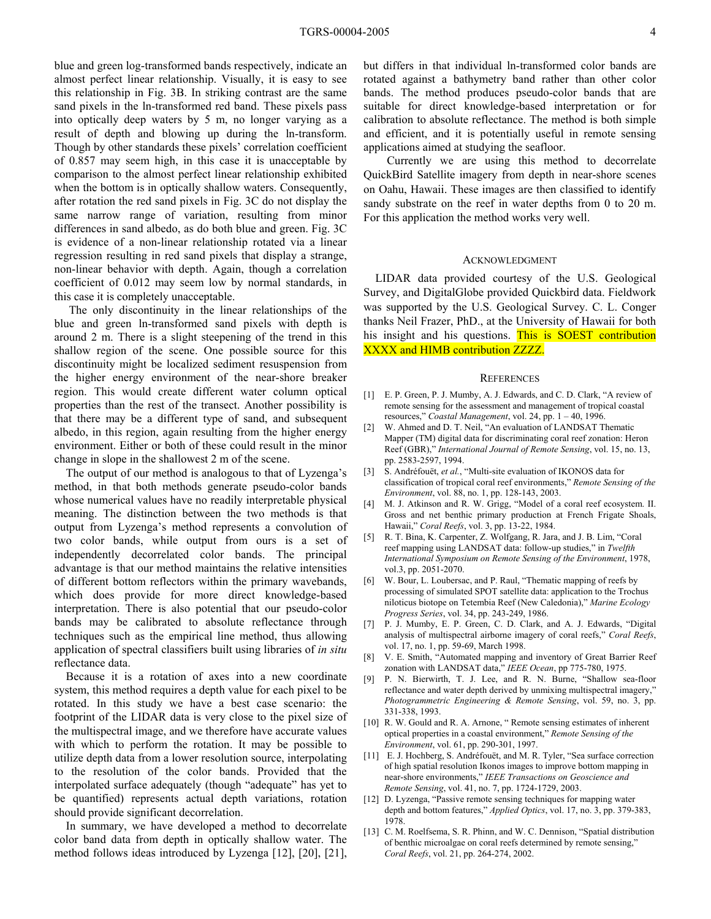blue and green log-transformed bands respectively, indicate an almost perfect linear relationship. Visually, it is easy to see this relationship in Fig. 3B. In striking contrast are the same sand pixels in the ln-transformed red band. These pixels pass into optically deep waters by 5 m, no longer varying as a result of depth and blowing up during the ln-transform. Though by other standards these pixels' correlation coefficient of 0.857 may seem high, in this case it is unacceptable by comparison to the almost perfect linear relationship exhibited when the bottom is in optically shallow waters. Consequently, after rotation the red sand pixels in Fig. 3C do not display the same narrow range of variation, resulting from minor differences in sand albedo, as do both blue and green. Fig. 3C is evidence of a non-linear relationship rotated via a linear regression resulting in red sand pixels that display a strange, non-linear behavior with depth. Again, though a correlation coefficient of 0.012 may seem low by normal standards, in this case it is completely unacceptable.

 The only discontinuity in the linear relationships of the blue and green ln-transformed sand pixels with depth is around 2 m. There is a slight steepening of the trend in this shallow region of the scene. One possible source for this discontinuity might be localized sediment resuspension from the higher energy environment of the near-shore breaker region. This would create different water column optical properties than the rest of the transect. Another possibility is that there may be a different type of sand, and subsequent albedo, in this region, again resulting from the higher energy environment. Either or both of these could result in the minor change in slope in the shallowest 2 m of the scene.

 The output of our method is analogous to that of Lyzenga's method, in that both methods generate pseudo-color bands whose numerical values have no readily interpretable physical meaning. The distinction between the two methods is that output from Lyzenga's method represents a convolution of two color bands, while output from ours is a set of independently decorrelated color bands. The principal advantage is that our method maintains the relative intensities of different bottom reflectors within the primary wavebands, which does provide for more direct knowledge-based interpretation. There is also potential that our pseudo-color bands may be calibrated to absolute reflectance through techniques such as the empirical line method, thus allowing application of spectral classifiers built using libraries of *in situ* reflectance data.

 Because it is a rotation of axes into a new coordinate system, this method requires a depth value for each pixel to be rotated. In this study we have a best case scenario: the footprint of the LIDAR data is very close to the pixel size of the multispectral image, and we therefore have accurate values with which to perform the rotation. It may be possible to utilize depth data from a lower resolution source, interpolating to the resolution of the color bands. Provided that the interpolated surface adequately (though "adequate" has yet to be quantified) represents actual depth variations, rotation should provide significant decorrelation.

 In summary, we have developed a method to decorrelate color band data from depth in optically shallow water. The method follows ideas introduced by Lyzenga [12], [20], [21], but differs in that individual ln-transformed color bands are rotated against a bathymetry band rather than other color bands. The method produces pseudo-color bands that are suitable for direct knowledge-based interpretation or for calibration to absolute reflectance. The method is both simple and efficient, and it is potentially useful in remote sensing applications aimed at studying the seafloor.

 Currently we are using this method to decorrelate QuickBird Satellite imagery from depth in near-shore scenes on Oahu, Hawaii. These images are then classified to identify sandy substrate on the reef in water depths from 0 to 20 m. For this application the method works very well.

#### ACKNOWLEDGMENT

LIDAR data provided courtesy of the U.S. Geological Survey, and DigitalGlobe provided Quickbird data. Fieldwork was supported by the U.S. Geological Survey. C. L. Conger thanks Neil Frazer, PhD., at the University of Hawaii for both his insight and his questions. This is SOEST contribution XXXX and HIMB contribution ZZZZ.

#### **REFERENCES**

- [1] E. P. Green, P. J. Mumby, A. J. Edwards, and C. D. Clark, "A review of remote sensing for the assessment and management of tropical coastal resources," *Coastal Management*, vol. 24, pp. 1 – 40, 1996.
- [2] W. Ahmed and D. T. Neil, "An evaluation of LANDSAT Thematic Mapper (TM) digital data for discriminating coral reef zonation: Heron Reef (GBR)," *International Journal of Remote Sensing*, vol. 15, no. 13, pp. 2583-2597, 1994.
- [3] S. Andréfouët, *et al.*, "Multi-site evaluation of IKONOS data for classification of tropical coral reef environments," *Remote Sensing of the Environment*, vol. 88, no. 1, pp. 128-143, 2003.
- [4] M. J. Atkinson and R. W. Grigg, "Model of a coral reef ecosystem. II. Gross and net benthic primary production at French Frigate Shoals, Hawaii," *Coral Reefs*, vol. 3, pp. 13-22, 1984.
- [5] R. T. Bina, K. Carpenter, Z. Wolfgang, R. Jara, and J. B. Lim, "Coral reef mapping using LANDSAT data: follow-up studies," in *Twelfth International Symposium on Remote Sensing of the Environment*, 1978, vol.3, pp. 2051-2070.
- [6] W. Bour, L. Loubersac, and P. Raul, "Thematic mapping of reefs by processing of simulated SPOT satellite data: application to the Trochus niloticus biotope on Tetembia Reef (New Caledonia)," *Marine Ecology Progress Series*, vol. 34, pp. 243-249, 1986.
- [7] P. J. Mumby, E. P. Green, C. D. Clark, and A. J. Edwards, "Digital analysis of multispectral airborne imagery of coral reefs," *Coral Reefs*, vol. 17, no. 1, pp. 59-69, March 1998.
- [8] V. E. Smith, "Automated mapping and inventory of Great Barrier Reef zonation with LANDSAT data," *IEEE Ocean*, pp 775-780, 1975.
- [9] P. N. Bierwirth, T. J. Lee, and R. N. Burne, "Shallow sea-floor reflectance and water depth derived by unmixing multispectral imagery," *Photogrammetric Engineering & Remote Sensing*, vol. 59, no. 3, pp. 331-338, 1993.
- [10] R. W. Gould and R. A. Arnone, " Remote sensing estimates of inherent optical properties in a coastal environment," *Remote Sensing of the Environment*, vol. 61, pp. 290-301, 1997.
- [11] E. J. Hochberg, S. Andréfouët, and M. R. Tyler, "Sea surface correction of high spatial resolution Ikonos images to improve bottom mapping in near-shore environments," *IEEE Transactions on Geoscience and Remote Sensing*, vol. 41, no. 7, pp. 1724-1729, 2003.
- [12] D. Lyzenga, "Passive remote sensing techniques for mapping water depth and bottom features," *Applied Optics*, vol. 17, no. 3, pp. 379-383, 1978.
- [13] C. M. Roelfsema, S. R. Phinn, and W. C. Dennison, "Spatial distribution of benthic microalgae on coral reefs determined by remote sensing," *Coral Reefs*, vol. 21, pp. 264-274, 2002.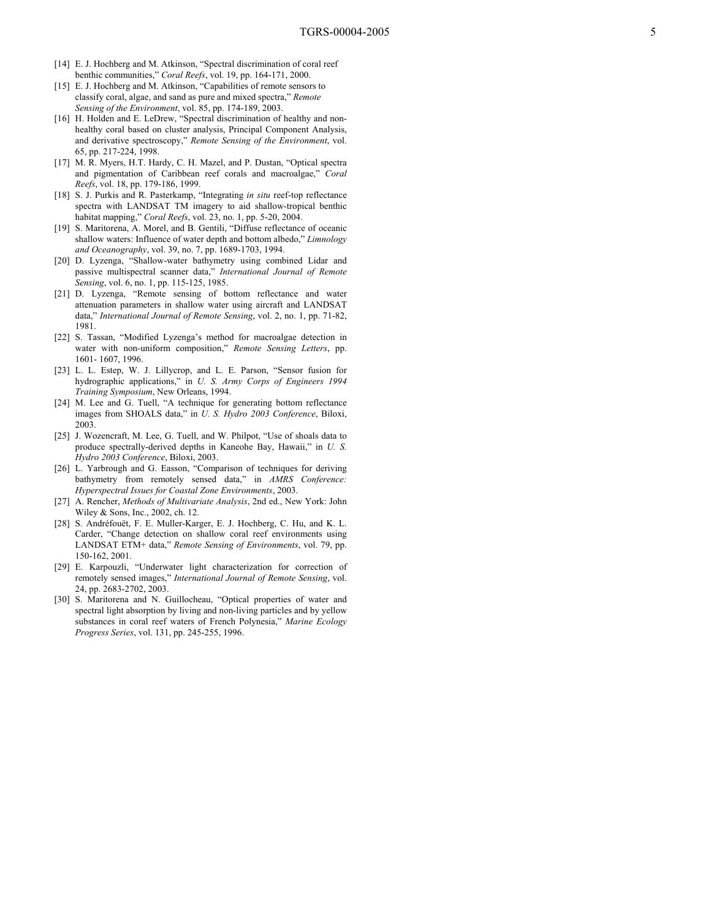- [14] E. J. Hochberg and M. Atkinson, "Spectral discrimination of coral reef benthic communities," *Coral Reefs*, vol. 19, pp. 164-171, 2000.
- [15] E. J. Hochberg and M. Atkinson, "Capabilities of remote sensors to classify coral, algae, and sand as pure and mixed spectra," *Remote Sensing of the Environment*, vol. 85, pp. 174-189, 2003.
- [16] H. Holden and E. LeDrew, "Spectral discrimination of healthy and nonhealthy coral based on cluster analysis, Principal Component Analysis, and derivative spectroscopy," *Remote Sensing of the Environment*, vol. 65, pp. 217-224, 1998.
- [17] M. R. Myers, H.T. Hardy, C. H. Mazel, and P. Dustan, "Optical spectra and pigmentation of Caribbean reef corals and macroalgae," *Coral Reefs*, vol. 18, pp. 179-186, 1999.
- [18] S. J. Purkis and R. Pasterkamp, "Integrating *in situ* reef-top reflectance spectra with LANDSAT TM imagery to aid shallow-tropical benthic habitat mapping," *Coral Reefs*, vol. 23, no. 1, pp. 5-20, 2004.
- [19] S. Maritorena, A. Morel, and B. Gentili, "Diffuse reflectance of oceanic shallow waters: Influence of water depth and bottom albedo," *Limnology and Oceanography*, vol. 39, no. 7, pp. 1689-1703, 1994.
- [20] D. Lyzenga, "Shallow-water bathymetry using combined Lidar and passive multispectral scanner data," *International Journal of Remote Sensing*, vol. 6, no. 1, pp. 115-125, 1985.
- [21] D. Lyzenga, "Remote sensing of bottom reflectance and water attenuation parameters in shallow water using aircraft and LANDSAT data," *International Journal of Remote Sensing*, vol. 2, no. 1, pp. 71-82, 1981.
- [22] S. Tassan, "Modified Lyzenga's method for macroalgae detection in water with non-uniform composition," *Remote Sensing Letters*, pp. 1601- 1607, 1996.
- [23] L. L. Estep, W. J. Lillycrop, and L. E. Parson, "Sensor fusion for hydrographic applications," in *U. S. Army Corps of Engineers 1994 Training Symposium*, New Orleans, 1994.
- [24] M. Lee and G. Tuell, "A technique for generating bottom reflectance images from SHOALS data," in *U. S. Hydro 2003 Conference*, Biloxi, 2003.
- [25] J. Wozencraft, M. Lee, G. Tuell, and W. Philpot, "Use of shoals data to produce spectrally-derived depths in Kaneohe Bay, Hawaii," in *U. S. Hydro 2003 Conference*, Biloxi, 2003.
- [26] L. Yarbrough and G. Easson, "Comparison of techniques for deriving bathymetry from remotely sensed data," in *AMRS Conference: Hyperspectral Issues for Coastal Zone Environments*, 2003.
- [27] A. Rencher, *Methods of Multivariate Analysis*, 2nd ed., New York: John Wiley & Sons, Inc., 2002, ch. 12.
- [28] S. Andréfouët, F. E. Muller-Karger, E. J. Hochberg, C. Hu, and K. L. Carder, "Change detection on shallow coral reef environments using LANDSAT ETM+ data," *Remote Sensing of Environments*, vol. 79, pp. 150-162, 2001.
- [29] E. Karpouzli, "Underwater light characterization for correction of remotely sensed images," *International Journal of Remote Sensing*, vol. 24, pp. 2683-2702, 2003.
- [30] S. Maritorena and N. Guillocheau, "Optical properties of water and spectral light absorption by living and non-living particles and by yellow substances in coral reef waters of French Polynesia," *Marine Ecology Progress Series*, vol. 131, pp. 245-255, 1996.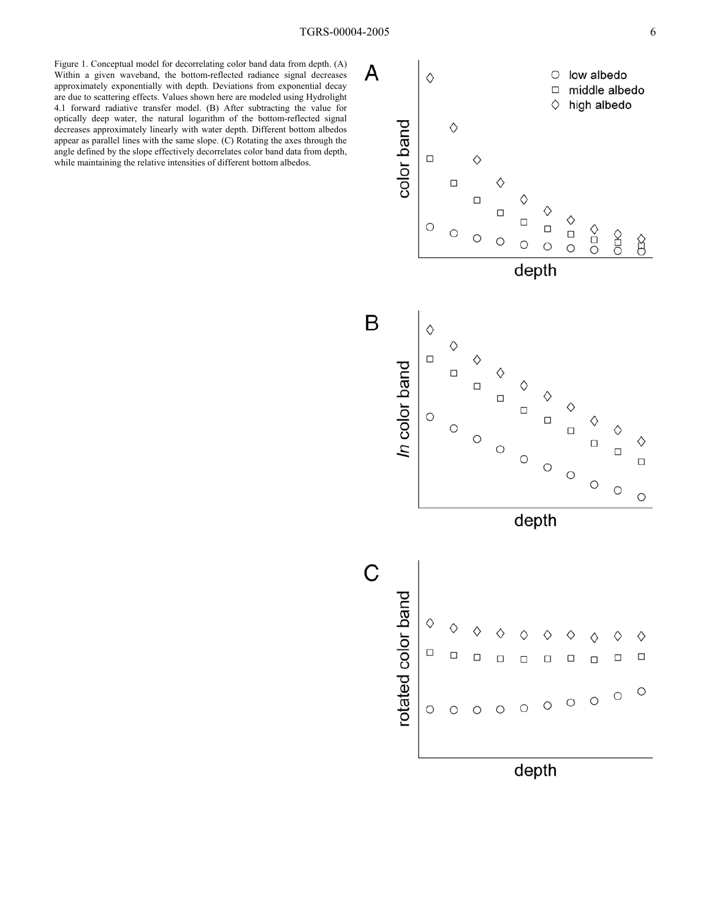Figure 1. Conceptual model for decorrelating color band data from depth. (A) Within a given waveband, the bottom-reflected radiance signal decreases approximately exponentially with depth. Deviations from exponential decay are due to scattering effects. Values shown here are modeled using Hydrolight 4.1 forward radiative transfer model. (B) After subtracting the value for optically deep water, the natural logarithm of the bottom-reflected signal decreases approximately linearly with water depth. Different bottom albedos appear as parallel lines with the same slope. (C) Rotating the axes through the angle defined by the slope effectively decorrelates color band data from depth, while maintaining the relative intensities of different bottom albedos.

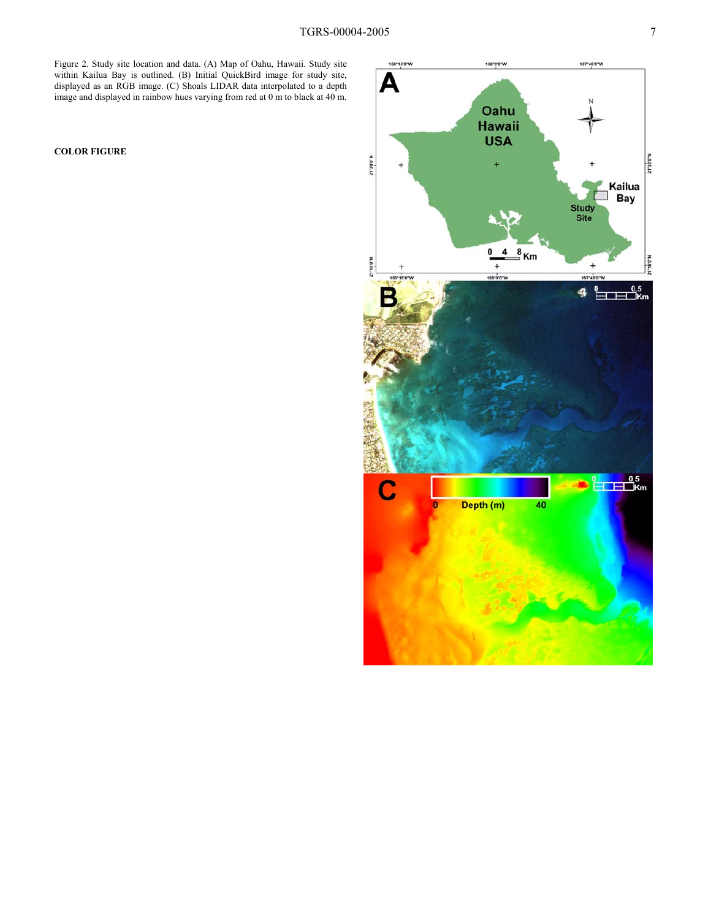Figure 2. Study site location and data. (A) Map of Oahu, Hawaii. Study site within Kailua Bay is outlined. (B) Initial QuickBird image for study site, displayed as an RGB image. (C) Shoals LIDAR data interpolated to a depth image and displayed in rainbow hues varying from red at 0 m to black at 40 m.

**COLOR FIGURE** 

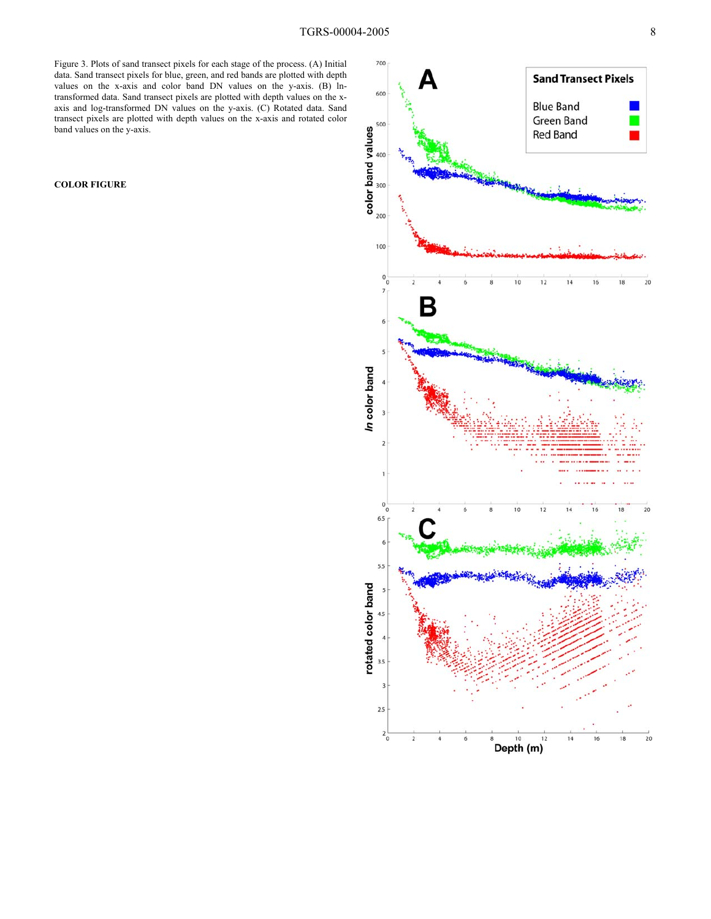Figure 3. Plots of sand transect pixels for each stage of the process. (A) Initial data. Sand transect pixels for blue, green, and red bands are plotted with depth values on the x-axis and color band DN values on the y-axis. (B) lntransformed data. Sand transect pixels are plotted with depth values on the xaxis and log-transformed DN values on the y-axis. (C) Rotated data. Sand transect pixels are plotted with depth values on the x-axis and rotated color band values on the y-axis.

**COLOR FIGURE**